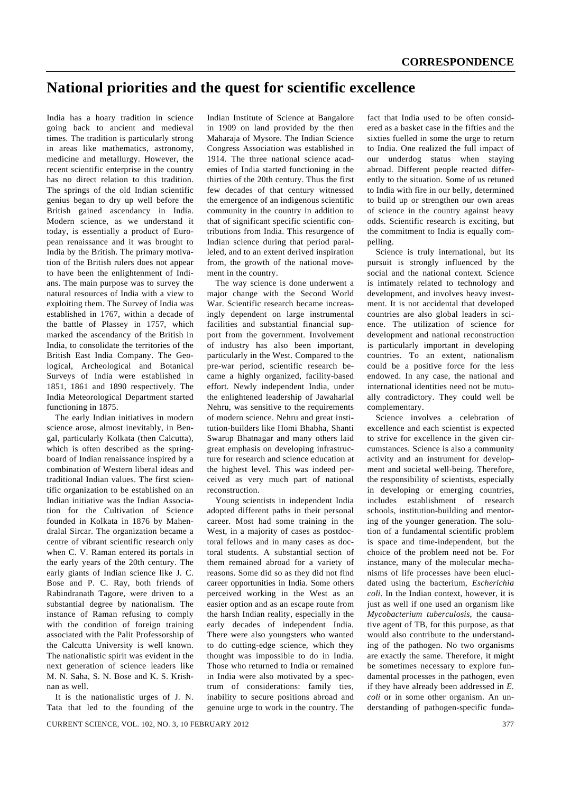## **National priorities and the quest for scientific excellence**

India has a hoary tradition in science going back to ancient and medieval times. The tradition is particularly strong in areas like mathematics, astronomy, medicine and metallurgy. However, the recent scientific enterprise in the country has no direct relation to this tradition. The springs of the old Indian scientific genius began to dry up well before the British gained ascendancy in India. Modern science, as we understand it today, is essentially a product of European renaissance and it was brought to India by the British. The primary motivation of the British rulers does not appear to have been the enlightenment of Indians. The main purpose was to survey the natural resources of India with a view to exploiting them. The Survey of India was established in 1767, within a decade of the battle of Plassey in 1757, which marked the ascendancy of the British in India, to consolidate the territories of the British East India Company. The Geological, Archeological and Botanical Surveys of India were established in 1851, 1861 and 1890 respectively. The India Meteorological Department started functioning in 1875.

 The early Indian initiatives in modern science arose, almost inevitably, in Bengal, particularly Kolkata (then Calcutta), which is often described as the springboard of Indian renaissance inspired by a combination of Western liberal ideas and traditional Indian values. The first scientific organization to be established on an Indian initiative was the Indian Association for the Cultivation of Science founded in Kolkata in 1876 by Mahendralal Sircar. The organization became a centre of vibrant scientific research only when C. V. Raman entered its portals in the early years of the 20th century. The early giants of Indian science like J. C. Bose and P. C. Ray, both friends of Rabindranath Tagore, were driven to a substantial degree by nationalism. The instance of Raman refusing to comply with the condition of foreign training associated with the Palit Professorship of the Calcutta University is well known. The nationalistic spirit was evident in the next generation of science leaders like M. N. Saha, S. N. Bose and K. S. Krishnan as well.

 It is the nationalistic urges of J. N. Tata that led to the founding of the Indian Institute of Science at Bangalore in 1909 on land provided by the then Maharaja of Mysore. The Indian Science Congress Association was established in 1914. The three national science academies of India started functioning in the thirties of the 20th century. Thus the first few decades of that century witnessed the emergence of an indigenous scientific community in the country in addition to that of significant specific scientific contributions from India. This resurgence of Indian science during that period paralleled, and to an extent derived inspiration from, the growth of the national movement in the country.

 The way science is done underwent a major change with the Second World War. Scientific research became increasingly dependent on large instrumental facilities and substantial financial support from the government. Involvement of industry has also been important, particularly in the West. Compared to the pre-war period, scientific research became a highly organized, facility-based effort. Newly independent India, under the enlightened leadership of Jawaharlal Nehru, was sensitive to the requirements of modern science. Nehru and great institution-builders like Homi Bhabha, Shanti Swarup Bhatnagar and many others laid great emphasis on developing infrastructure for research and science education at the highest level. This was indeed perceived as very much part of national reconstruction.

 Young scientists in independent India adopted different paths in their personal career. Most had some training in the West, in a majority of cases as postdoctoral fellows and in many cases as doctoral students. A substantial section of them remained abroad for a variety of reasons. Some did so as they did not find career opportunities in India. Some others perceived working in the West as an easier option and as an escape route from the harsh Indian reality, especially in the early decades of independent India. There were also youngsters who wanted to do cutting-edge science, which they thought was impossible to do in India. Those who returned to India or remained in India were also motivated by a spectrum of considerations: family ties, inability to secure positions abroad and genuine urge to work in the country. The fact that India used to be often considered as a basket case in the fifties and the sixties fuelled in some the urge to return to India. One realized the full impact of our underdog status when staying abroad. Different people reacted differently to the situation. Some of us retuned to India with fire in our belly, determined to build up or strengthen our own areas of science in the country against heavy odds. Scientific research is exciting, but the commitment to India is equally compelling.

 Science is truly international, but its pursuit is strongly influenced by the social and the national context. Science is intimately related to technology and development, and involves heavy investment. It is not accidental that developed countries are also global leaders in science. The utilization of science for development and national reconstruction is particularly important in developing countries. To an extent, nationalism could be a positive force for the less endowed. In any case, the national and international identities need not be mutually contradictory. They could well be complementary.

 Science involves a celebration of excellence and each scientist is expected to strive for excellence in the given circumstances. Science is also a community activity and an instrument for development and societal well-being. Therefore, the responsibility of scientists, especially in developing or emerging countries, includes establishment of research schools, institution-building and mentoring of the younger generation. The solution of a fundamental scientific problem is space and time-independent, but the choice of the problem need not be. For instance, many of the molecular mechanisms of life processes have been elucidated using the bacterium, *Escherichia coli*. In the Indian context, however, it is just as well if one used an organism like *Mycobacterium tuberculosis*, the causative agent of TB, for this purpose, as that would also contribute to the understanding of the pathogen. No two organisms are exactly the same. Therefore, it might be sometimes necessary to explore fundamental processes in the pathogen, even if they have already been addressed in *E. coli* or in some other organism. An understanding of pathogen-specific funda-

CURRENT SCIENCE, VOL. 102, NO. 3, 10 FEBRUARY 2012 377